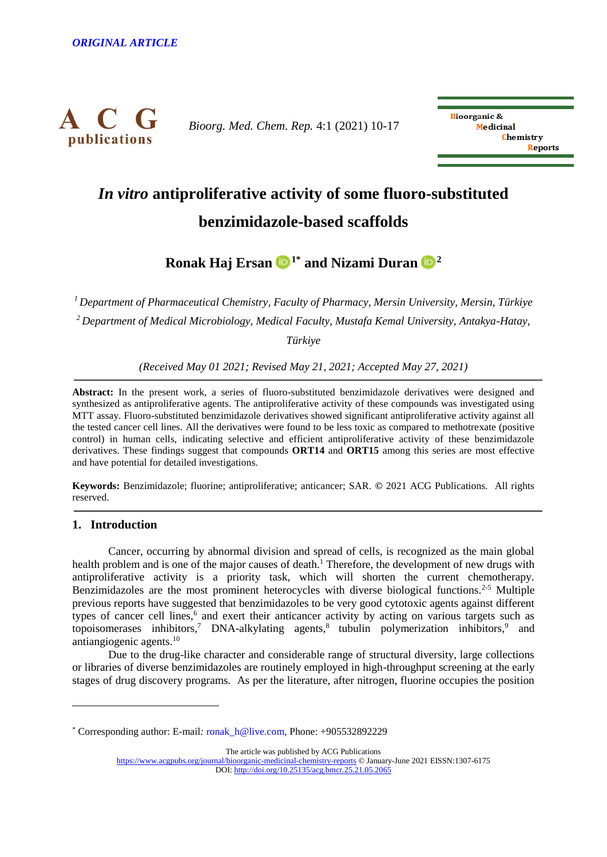

 *Bioorg. Med. Chem. Rep.* 4:1 (2021) 10-17



# *In vitro* **antiproliferative activity of some fluoro-substituted benzimidazole-based scaffolds**

# **Ronak Haj Ersan [1](http://orcid.org/0000-0001-6651-5910)\* and Nizami Duran [2](http://orcid.org/0000-0002-2766-3491)**

*<sup>1</sup> Department of Pharmaceutical Chemistry, Faculty of Pharmacy, Mersin University, Mersin, Türkiye <sup>2</sup> Department of Medical Microbiology, Medical Faculty, Mustafa Kemal University, Antakya-Hatay,* 

*Türkiye*

*(Received May 01 2021; Revised May 21, 2021; Accepted May 27, 2021)*

**Abstract:** In the present work, a series of fluoro-substituted benzimidazole derivatives were designed and synthesized as antiproliferative agents. The antiproliferative activity of these compounds was investigated using MTT assay. Fluoro-substituted benzimidazole derivatives showed significant antiproliferative activity against all the tested cancer cell lines. All the derivatives were found to be less toxic as compared to methotrexate (positive control) in human cells, indicating selective and efficient antiproliferative activity of these benzimidazole derivatives. These findings suggest that compounds **ORT14** and **ORT15** among this series are most effective and have potential for detailed investigations.

**Keywords:** Benzimidazole; fluorine; antiproliferative; anticancer; SAR. **©** 2021 ACG Publications. All rights reserved.

# **1. Introduction**

 $\overline{a}$ 

Cancer, occurring by abnormal division and spread of cells, is recognized as the main global health problem and is one of the major causes of death.<sup>[1](https://www.sciencedirect.com/science/article/pii/S0960894X21000536?casa_token=YiiUT-BzlkUAAAAA:x8pqReyzy7sv4eu2Mfxag4VLlGWbst-XHpkAt1Lz9BSZmzS1AETCgrwliQY93qxnxI42j60jDA#b0005)</sup> Therefore, the development of new drugs with antiproliferative activity is a priority task, which will shorten the current chemotherapy. Benzimidazoles are the most prominent heterocycles with diverse biological functions.<sup>2-5</sup> Multiple previous reports have suggested that benzimidazoles to be very good cytotoxic agents against different types of cancer cell lines,<sup>6</sup> and exert their anticancer activity by acting on various targets such as topoisomerases inhibitors,<sup>7</sup> DNA-alkylating agents,<sup>8</sup> tubulin polymerization inhibitors,<sup>9</sup> and antiangiogenic agents.<sup>10</sup>

Due to the drug-like character and considerable range of structural diversity, large collections or libraries of diverse benzimidazoles are routinely employed in high-throughput screening at the early stages of drug discovery programs. As per the literature, after nitrogen, fluorine occupies the position

The article was published by ACG Publications

<sup>\*</sup> Corresponding author: E-mail*:* [ronak\\_h@live.com,](mailto:ronak_h@live.com) Phone: +905532892229

https://www.acgpubs.org/journal/bioorganic-medicinal-chemistry-reports © January-June 2021 EISSN:1307-6175 DOI: [http://doi.org/10.25135/acg.bmcr.25.21.05.206](http://doi.org/10.25135/acg.bmcr.25.21.05.20)5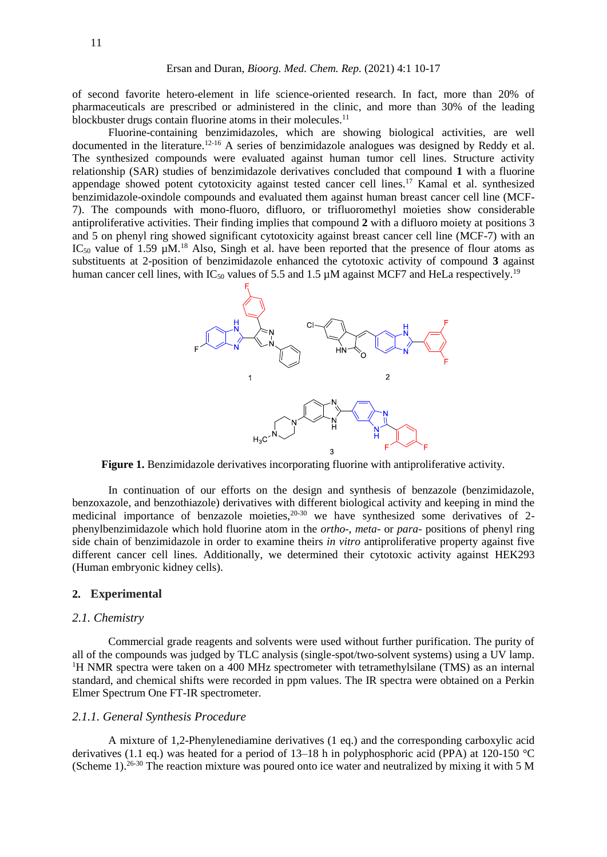of second favorite hetero-element in life science-oriented research. In fact, more than 20% of pharmaceuticals are prescribed or administered in the clinic, and more than 30% of the leading blockbuster drugs contain fluorine atoms in their molecules.<sup>11</sup>

Fluorine-containing benzimidazoles, which are showing biological activities, are well documented in the literature.12-16 A series of benzimidazole analogues was designed by Reddy et al. The synthesized compounds were evaluated against human tumor cell lines. Structure activity relationship (SAR) studies of benzimidazole derivatives concluded that compound **1** with a fluorine appendage showed potent cytotoxicity against tested cancer cell lines.<sup>17</sup> Kamal et al. synthesized benzimidazole-oxindole compounds and evaluated them against human breast cancer cell line (MCF-7). The compounds with mono-fluoro, difluoro, or trifluoromethyl moieties show considerable antiproliferative activities. Their finding implies that compound **2** with a difluoro moiety at positions 3 and 5 on phenyl ring showed significant cytotoxicity against breast cancer cell line (MCF-7) with an IC<sub>50</sub> value of 1.59  $\mu$ M.<sup>18</sup> Also, Singh et al. have been reported that the presence of flour atoms as substituents at 2-position of benzimidazole enhanced the cytotoxic activity of compound **3** against human cancer cell lines, with IC<sub>50</sub> values of 5.5 and 1.5  $\mu$ M against MCF7 and HeLa respectively.<sup>19</sup>



**Figure 1.** Benzimidazole derivatives incorporating fluorine with antiproliferative activity.

In continuation of our efforts on the design and synthesis of benzazole (benzimidazole, benzoxazole, and benzothiazole) derivatives with different biological activity and keeping in mind the medicinal importance of benzazole moieties,  $20-30$  we have synthesized some derivatives of 2phenylbenzimidazole which hold fluorine atom in the *ortho*-, *meta*- or *para*- positions of phenyl ring side chain of benzimidazole in order to examine theirs *in vitro* antiproliferative property against five different cancer cell lines. Additionally, we determined their cytotoxic activity against HEK293 (Human embryonic kidney cells).

# **2. Experimental**

#### *2.1. Chemistry*

Commercial grade reagents and solvents were used without further purification. The purity of all of the compounds was judged by TLC analysis (single-spot/two-solvent systems) using a UV lamp. <sup>1</sup>H NMR spectra were taken on a 400 MHz spectrometer with tetramethylsilane (TMS) as an internal standard, and chemical shifts were recorded in ppm values. The IR spectra were obtained on a Perkin Elmer Spectrum One FT-IR spectrometer.

#### *2.1.1. General Synthesis Procedure*

A mixture of 1,2-Phenylenediamine derivatives (1 eq.) and the corresponding carboxylic acid derivatives (1.1 eq.) was heated for a period of 13–18 h in polyphosphoric acid (PPA) at 120-150 °C (Scheme 1).26-30 The reaction mixture was poured onto ice water and neutralized by mixing it with 5 M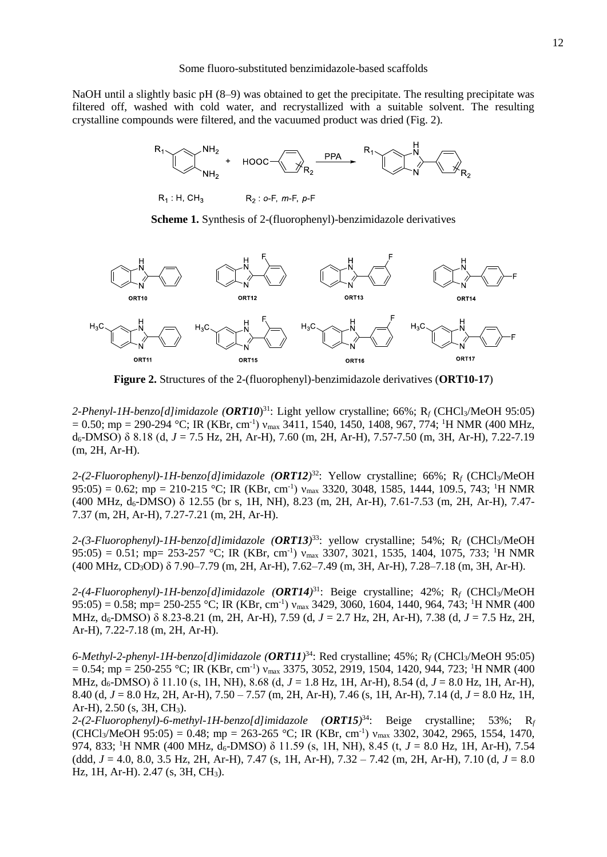Some fluoro-substituted benzimidazole-based scaffolds

NaOH until a slightly basic pH (8–9) was obtained to get the precipitate. The resulting precipitate was filtered off, washed with cold water, and recrystallized with a suitable solvent. The resulting crystalline compounds were filtered, and the vacuumed product was dried (Fig. 2).



 $R_1$ : H, CH<sub>3</sub>  $R_2$ : o-F, m-F, p-F

**Scheme 1.** Synthesis of 2-(fluorophenyl)-benzimidazole derivatives



**Figure 2.** Structures of the 2-(fluorophenyl)-benzimidazole derivatives (**ORT10-17**)

*2-Phenyl-1H-benzo[d]imidazole (ORT10*) 31 : Light yellow crystalline; 66%; R*<sup>f</sup>* (CHCl3/MeOH 95:05)  $= 0.50$ ; mp = 290-294 °C; IR (KBr, cm<sup>-1</sup>) v<sub>max</sub> 3411, 1540, 1450, 1408, 967, 774; <sup>1</sup>H NMR (400 MHz, d6-DMSO) δ 8.18 (d, *J* = 7.5 Hz, 2H, Ar-H), 7.60 (m, 2H, Ar-H), 7.57-7.50 (m, 3H, Ar-H), 7.22-7.19 (m, 2H, Ar-H).

*2-(2-Fluorophenyl)-1H-benzo[d]imidazole (ORT12)* 32 : Yellow crystalline; 66%; R*f* (CHCl3/MeOH 95:05) = 0.62; mp = 210-215 °C; IR (KBr, cm<sup>-1</sup>)  $v_{\text{max}}$  3320, 3048, 1585, 1444, 109.5, 743; <sup>1</sup>H NMR  $(400 \text{ MHz}, d_6\text{-}DMSO)$  δ 12.55 (br s, 1H, NH), 8.23 (m, 2H, Ar-H), 7.61-7.53 (m, 2H, Ar-H), 7.47-7.37 (m, 2H, Ar-H), 7.27-7.21 (m, 2H, Ar-H).

*2-(3-Fluorophenyl)-1H-benzo[d]imidazole (ORT13)* 33 : yellow crystalline; 54%; R*<sup>f</sup>* (CHCl3/MeOH  $95:05$  = 0.51; mp= 253-257 °C; IR (KBr, cm<sup>-1</sup>)  $v_{\text{max}}$  3307, 3021, 1535, 1404, 1075, 733; <sup>1</sup>H NMR (400 MHz, CD3OD) δ 7.90–7.79 (m, 2H, Ar-H), 7.62–7.49 (m, 3H, Ar-H), 7.28–7.18 (m, 3H, Ar-H).

*2-(4-Fluorophenyl)-1H-benzo[d]imidazole (ORT14)* 31 : Beige crystalline; 42%; R*f* (CHCl3/MeOH 95:05) = 0.58; mp= 250-255 °C; IR (KBr, cm<sup>-1</sup>)  $v_{\text{max}}$  3429, 3060, 1604, 1440, 964, 743; <sup>1</sup>H NMR (400 MHz, d6-DMSO) δ 8.23-8.21 (m, 2H, Ar-H), 7.59 (d, *J* = 2.7 Hz, 2H, Ar-H), 7.38 (d, *J* = 7.5 Hz, 2H, Ar-H), 7.22-7.18 (m, 2H, Ar-H).

*6-Methyl-2-phenyl-1H-benzo[d]imidazole (ORT11)* 34 : Red crystalline; 45%; R*<sup>f</sup>* (CHCl3/MeOH 95:05)  $= 0.54$ ; mp = 250-255 °C; IR (KBr, cm<sup>-1</sup>) v<sub>max</sub> 3375, 3052, 2919, 1504, 1420, 944, 723; <sup>1</sup>H NMR (400 MHz, d6-DMSO) δ 11.10 (s, 1H, NH), 8.68 (d, *J* = 1.8 Hz, 1H, Ar-H), 8.54 (d, *J* = 8.0 Hz, 1H, Ar-H), 8.40 (d, *J* = 8.0 Hz, 2H, Ar-H), 7.50 – 7.57 (m, 2H, Ar-H), 7.46 (s, 1H, Ar-H), 7.14 (d, *J* = 8.0 Hz, 1H, Ar-H), 2.50 (s, 3H, CH3).

*2-(2-Fluorophenyl)-6-methyl-1H-benzo[d]imidazole (ORT15)* 34 : Beige crystalline; 53%; R*<sup>f</sup>*  $(CHCl<sub>3</sub>/MeOH 95:05) = 0.48$ ; mp = 263-265 °C; IR (KBr, cm<sup>-1</sup>)  $v_{max}$  3302, 3042, 2965, 1554, 1470, 974, 833; <sup>1</sup>H NMR (400 MHz, d<sub>6</sub>-DMSO) δ 11.59 (s, 1H, NH), 8.45 (t, *J* = 8.0 Hz, 1H, Ar-H), 7.54 (ddd, *J* = 4.0, 8.0, 3.5 Hz, 2H, Ar-H), 7.47 (s, 1H, Ar-H), 7.32 – 7.42 (m, 2H, Ar-H), 7.10 (d, *J* = 8.0 Hz, 1H, Ar-H). 2.47 (s, 3H, CH3).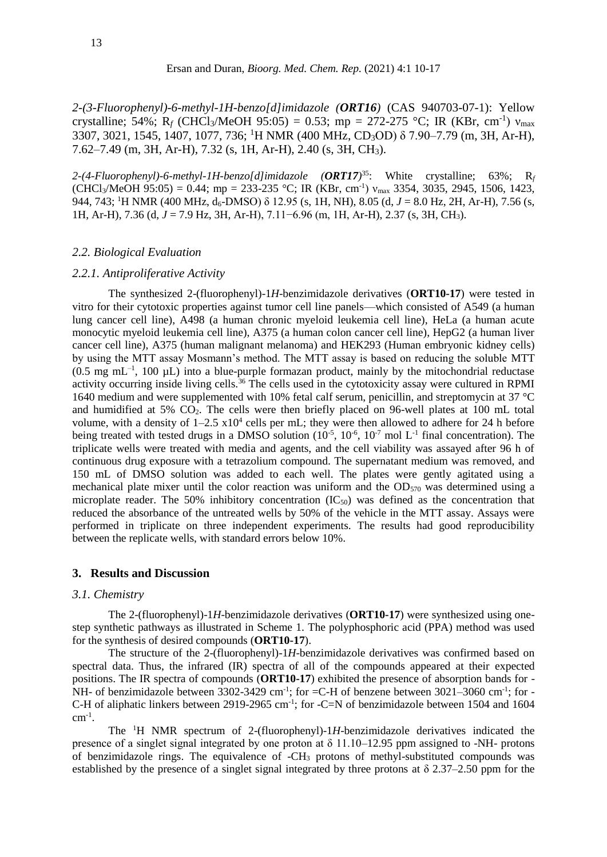*2-(3-Fluorophenyl)-6-methyl-1H-benzo[d]imidazole (ORT16)* (CAS 940703-07-1): Yellow crystalline; 54%; R<sub>f</sub> (CHCl<sub>3</sub>/MeOH 95:05) = 0.53; mp = 272-275 °C; IR (KBr, cm<sup>-1</sup>)  $v_{\text{max}}$ 3307, 3021, 1545, 1407, 1077, 736; <sup>1</sup>H NMR (400 MHz, CD3OD) δ 7.90–7.79 (m, 3H, Ar-H), 7.62–7.49 (m, 3H, Ar-H), 7.32 (s, 1H, Ar-H), 2.40 (s, 3H, CH3).

*2-(4-Fluorophenyl)-6-methyl-1H-benzo[d]imidazole (ORT17)* 35 : White crystalline; 63%; R*<sup>f</sup>*  $(CHCl<sub>3</sub>/MeOH 95:05) = 0.44$ ; mp = 233-235 °C; IR  $(KBr, cm<sup>-1</sup>)$  v<sub>max</sub> 3354, 3035, 2945, 1506, 1423, 944, 743; <sup>1</sup>H NMR (400 MHz, d<sub>6</sub>-DMSO) δ 12.95 (s, 1H, NH), 8.05 (d, *J* = 8.0 Hz, 2H, Ar-H), 7.56 (s, 1H, Ar-H), 7.36 (d, *J* = 7.9 Hz, 3H, Ar-H), 7.11−6.96 (m, 1H, Ar-H), 2.37 (s, 3H, CH3).

# *2.2. Biological Evaluation*

#### *2.2.1. Antiproliferative Activity*

The synthesized 2-(fluorophenyl)-1*H*-benzimidazole derivatives (**ORT10-17**) were tested in vitro for their cytotoxic properties against tumor cell line panels—which consisted of A549 (a human lung cancer cell line), A498 (a human chronic myeloid leukemia cell line), HeLa (a human acute monocytic myeloid leukemia cell line), A375 (a human colon cancer cell line), HepG2 (a human liver cancer cell line), A375 (human malignant melanoma) and HEK293 (Human embryonic kidney cells) by using the MTT assay Mosmann's method. The MTT assay is based on reducing the soluble MTT  $(0.5 \text{ mg } \text{mL}^{-1}$ , 100 µL) into a blue-purple formazan product, mainly by the mitochondrial reductase activity occurring inside living cells.<sup>36</sup> The cells used in the cytotoxicity assay were cultured in RPMI 1640 medium and were supplemented with 10% fetal calf serum, penicillin, and streptomycin at 37 °C and humidified at 5%  $CO<sub>2</sub>$ . The cells were then briefly placed on 96-well plates at 100 mL total volume, with a density of  $1-2.5 \times 10^4$  cells per mL; they were then allowed to adhere for 24 h before being treated with tested drugs in a DMSO solution  $(10^{-5}, 10^{-6}, 10^{-7} \text{ mol L}^{-1}$  final concentration). The triplicate wells were treated with media and agents, and the cell viability was assayed after 96 h of continuous drug exposure with a tetrazolium compound. The supernatant medium was removed, and 150 mL of DMSO solution was added to each well. The plates were gently agitated using a mechanical plate mixer until the color reaction was uniform and the  $OD_{570}$  was determined using a microplate reader. The 50% inhibitory concentration  $(IC_{50})$  was defined as the concentration that reduced the absorbance of the untreated wells by 50% of the vehicle in the MTT assay. Assays were performed in triplicate on three independent experiments. The results had good reproducibility between the replicate wells, with standard errors below 10%.

# **3. Results and Discussion**

# *3.1. Chemistry*

The 2-(fluorophenyl)-1*H*-benzimidazole derivatives (**ORT10-17**) were synthesized using onestep synthetic pathways as illustrated in Scheme 1. The polyphosphoric acid (PPA) method was used for the synthesis of desired compounds (**ORT10-17**).

The structure of the 2-(fluorophenyl)-1*H*-benzimidazole derivatives was confirmed based on spectral data. Thus, the infrared (IR) spectra of all of the compounds appeared at their expected positions. The IR spectra of compounds (**ORT10-17**) exhibited the presence of absorption bands for - NH- of benzimidazole between  $3302$ -3429 cm<sup>-1</sup>; for  $=$ C-H of benzene between  $3021-3060$  cm<sup>-1</sup>; for -C-H of aliphatic linkers between 2919-2965 cm<sup>-1</sup>; for -C=N of benzimidazole between 1504 and 1604  $cm^{-1}$ .

The <sup>1</sup>H NMR spectrum of 2-(fluorophenyl)-1*H*-benzimidazole derivatives indicated the presence of a singlet signal integrated by one proton at δ 11.10–12.95 ppm assigned to -NH- protons of benzimidazole rings. The equivalence of -CH<sup>3</sup> protons of methyl-substituted compounds was established by the presence of a singlet signal integrated by three protons at  $\delta$  2.37–2.50 ppm for the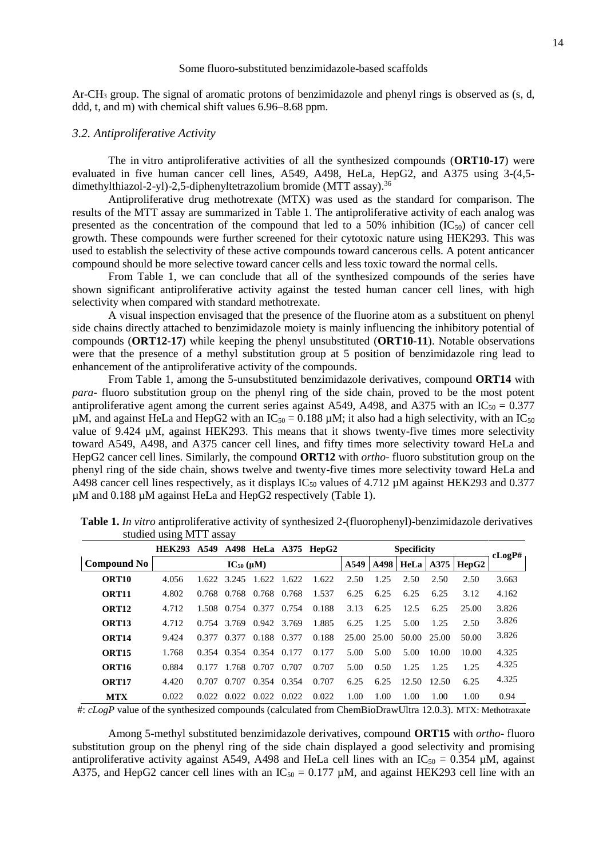Ar-CH<sup>3</sup> group. The signal of aromatic protons of benzimidazole and phenyl rings is observed as (s, d, ddd, t, and m) with chemical shift values 6.96–8.68 ppm.

# *3.2. Antiproliferative Activity*

The in vitro antiproliferative activities of all the synthesized compounds (**ORT10-17**) were evaluated in five human cancer cell lines, A549, A498, HeLa, HepG2, and A375 using 3-(4,5 dimethylthiazol-2-yl)-2,5-diphenyltetrazolium bromide (MTT assay).<sup>36</sup>

Antiproliferative drug methotrexate (MTX) was used as the standard for comparison. The results of the MTT assay are summarized in Table 1. The antiproliferative activity of each analog was presented as the concentration of the compound that led to a 50% inhibition  $(IC_{50})$  of cancer cell growth. These compounds were further screened for their cytotoxic nature using HEK293. This was used to establish the selectivity of these active compounds toward cancerous cells. A potent anticancer compound should be more selective toward cancer cells and less toxic toward the normal cells.

From Table 1, we can conclude that all of the synthesized compounds of the series have shown significant antiproliferative activity against the tested human cancer cell lines, with high selectivity when compared with standard methotrexate.

A visual inspection envisaged that the presence of the fluorine atom as a substituent on phenyl side chains directly attached to benzimidazole moiety is mainly influencing the inhibitory potential of compounds (**ORT12-17**) while keeping the phenyl unsubstituted (**ORT10-11**). Notable observations were that the presence of a methyl substitution group at 5 position of benzimidazole ring lead to enhancement of the antiproliferative activity of the compounds.

From Table 1, among the 5-unsubstituted benzimidazole derivatives, compound **ORT14** with *para*- fluoro substitution group on the phenyl ring of the side chain, proved to be the most potent antiproliferative agent among the current series against A549, A498, and A375 with an  $IC_{50} = 0.377$  $\mu$ M, and against HeLa and HepG2 with an IC<sub>50</sub> = 0.188  $\mu$ M; it also had a high selectivity, with an IC<sub>50</sub> value of 9.424 µM, against HEK293. This means that it shows twenty-five times more selectivity toward A549, A498, and A375 cancer cell lines, and fifty times more selectivity toward HeLa and HepG2 cancer cell lines. Similarly, the compound **ORT12** with *ortho*- fluoro substitution group on the phenyl ring of the side chain, shows twelve and twenty-five times more selectivity toward HeLa and A498 cancer cell lines respectively, as it displays  $IC_{50}$  values of 4.712  $\mu$ M against HEK293 and 0.377 µM and 0.188 µM against HeLa and HepG2 respectively (Table 1).

|                    | HEK293 A549 A498 HeLa A375 HepG2 |       |             |                         |       |       | <b>Specificity</b> |             |       |       |                            | cLogP# |  |
|--------------------|----------------------------------|-------|-------------|-------------------------|-------|-------|--------------------|-------------|-------|-------|----------------------------|--------|--|
| <b>Compound No</b> | $IC_{50} (\mu M)$                |       |             |                         |       |       | A549               |             |       |       | A498   HeLa   A375   HepG2 |        |  |
| ORT <sub>10</sub>  | 4.056                            |       | 1.622 3.245 | 1.622                   | 1.622 | 1.622 | 2.50               | 1.25        | 2.50  | 2.50  | 2.50                       | 3.663  |  |
| ORT <sub>11</sub>  | 4.802                            |       | 0.768 0.768 | 0.768 0.768             |       | 1.537 | 6.25               | 6.25        | 6.25  | 6.25  | 3.12                       | 4.162  |  |
| ORT <sub>12</sub>  | 4.712                            | 1.508 | 0.754 0.377 |                         | 0.754 | 0.188 | 3.13               | 6.25        | 12.5  | 6.25  | 25.00                      | 3.826  |  |
| ORT <sub>13</sub>  | 4.712                            |       | 0.754 3.769 | 0.942 3.769             |       | 1.885 | 6.25               | 1.25        | 5.00  | 1.25  | 2.50                       | 3.826  |  |
| ORT <sub>14</sub>  | 9.424                            | 0.377 | 0.377       | 0.188 0.377             |       | 0.188 |                    | 25.00 25.00 | 50.00 | 25.00 | 50.00                      | 3.826  |  |
| ORT <sub>15</sub>  | 1.768                            |       |             | 0.354 0.354 0.354 0.177 |       | 0.177 | 5.00               | 5.00        | 5.00  | 10.00 | 10.00                      | 4.325  |  |
| ORT <sub>16</sub>  | 0.884                            |       | 0.177 1.768 | 0.707                   | 0.707 | 0.707 | 5.00               | 0.50        | 1.25  | 1.25  | 1.25                       | 4.325  |  |
| ORT <sub>17</sub>  | 4.420                            | 0.707 | 0.707       | 0.354 0.354             |       | 0.707 | 6.25               | 6.25        | 12.50 | 12.50 | 6.25                       | 4.325  |  |
| <b>MTX</b>         | 0.022                            | 0.022 | 0.022       | 0.022                   | 0.022 | 0.022 | 1.00               | 1.00        | 1.00  | 1.00  | 1.00                       | 0.94   |  |

 **Table 1.** *In vitro* antiproliferative activity of synthesized 2-(fluorophenyl)-benzimidazole derivatives studied using MTT assay

#: *cLogP* value of the synthesized compounds (calculated from ChemBioDrawUltra 12.0.3). MTX: Methotraxate

Among 5-methyl substituted benzimidazole derivatives, compound **ORT15** with *ortho*- fluoro substitution group on the phenyl ring of the side chain displayed a good selectivity and promising antiproliferative activity against A549, A498 and HeLa cell lines with an  $IC_{50} = 0.354 \mu M$ , against A375, and HepG2 cancer cell lines with an  $IC_{50} = 0.177 \mu M$ , and against HEK293 cell line with an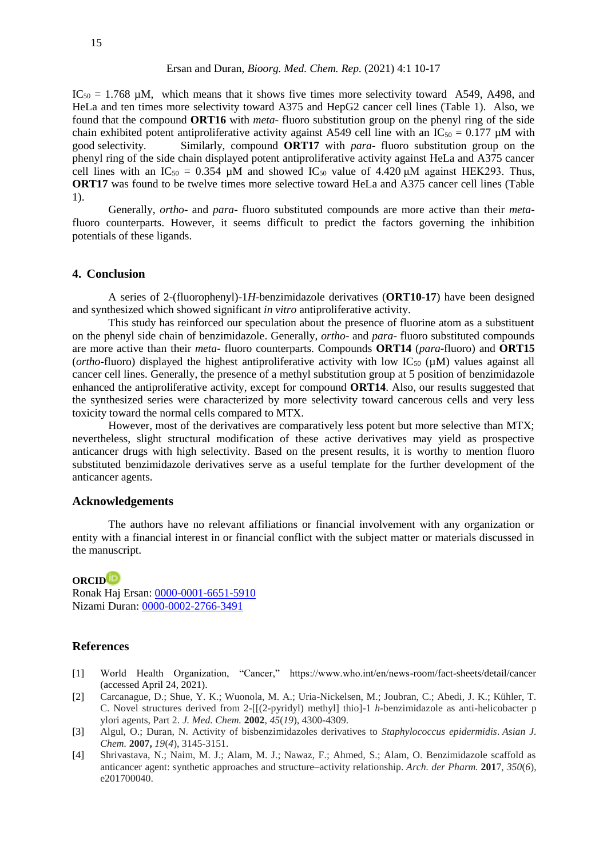#### Ersan and Duran, *Bioorg. Med. Chem. Rep.* (2021) 4:1 10-17

 $IC_{50} = 1.768$  µM, which means that it shows five times more selectivity toward A549, A498, and HeLa and ten times more selectivity toward A375 and HepG2 cancer cell lines (Table 1). Also, we found that the compound **ORT16** with *meta*- fluoro substitution group on the phenyl ring of the side chain exhibited potent antiproliferative activity against A549 cell line with an IC<sub>50</sub> =  $0.177 \mu M$  with good selectivity. Similarly, compound **ORT17** with *para*- fluoro substitution group on the phenyl ring of the side chain displayed potent antiproliferative activity against HeLa and A375 cancer cell lines with an IC<sub>50</sub> = 0.354  $\mu$ M and showed IC<sub>50</sub> value of 4.420  $\mu$ M against HEK293. Thus, **ORT17** was found to be twelve times more selective toward HeLa and A375 cancer cell lines (Table 1).

Generally, *ortho*- and *para*- fluoro substituted compounds are more active than their *meta*fluoro counterparts. However, it seems difficult to predict the factors governing the inhibition potentials of these ligands.

#### **4. Conclusion**

A series of 2-(fluorophenyl)-1*H*-benzimidazole derivatives (**ORT10-17**) have been designed and synthesized which showed significant *in vitro* antiproliferative activity.

This study has reinforced our speculation about the presence of fluorine atom as a substituent on the phenyl side chain of benzimidazole. Generally, *ortho*- and *para*- fluoro substituted compounds are more active than their *meta*- fluoro counterparts. Compounds **ORT14** (*para*-fluoro) and **ORT15** (*ortho*-fluoro) displayed the highest antiproliferative activity with low  $IC_{50}$  ( $\mu$ M) values against all cancer cell lines. Generally, the presence of a methyl substitution group at 5 position of benzimidazole enhanced the antiproliferative activity, except for compound **ORT14**. Also, our results suggested that the synthesized series were characterized by more selectivity toward cancerous cells and very less toxicity toward the normal cells compared to MTX.

However, most of the derivatives are comparatively less potent but more selective than MTX; nevertheless, slight structural modification of these active derivatives may yield as prospective anticancer drugs with high selectivity. Based on the present results, it is worthy to mention fluoro substituted benzimidazole derivatives serve as a useful template for the further development of the anticancer agents.

#### **Acknowledgements**

The authors have no relevant affiliations or financial involvement with any organization or entity with a financial interest in or financial conflict with the subject matter or materials discussed in the manuscript.

#### **ORCID**

Ronak Haj Ersan: [0000-0001-6651-5910](http://orcid.org/0000-0001-6651-5910) Nizami Duran: [0000-0002-2766-3491](http://orcid.org/0000-0002-2766-3491)

# **References**

- [1] World Health Organization, "Cancer," https://www.who.int/en/news-room/fact-sheets/detail/cancer (accessed April 24, 2021).
- [2] Carcanague, D.; Shue, Y. K.; Wuonola, M. A.; Uria-Nickelsen, M.; Joubran, C.; Abedi, J. K.; Kühler, T. C. Novel structures derived from 2-[[(2-pyridyl) methyl] thio]-1 *h*-benzimidazole as anti-helicobacter p ylori agents, Part 2. *J. Med. Chem.* **2002**, *45*(*19*), 4300-4309.
- [3] Algul, O.; Duran, N. Activity of bisbenzimidazoles derivatives to *Staphylococcus epidermidis*. *Asian J. Chem.* **2007,** *19*(*4*), 3145-3151.
- [4] Shrivastava, N.; Naim, M. J.; Alam, M. J.; Nawaz, F.; Ahmed, S.; Alam, O. Benzimidazole scaffold as anticancer agent: synthetic approaches and structure–activity relationship. *Arch. der Pharm.* **201**7, *350*(*6*), e201700040.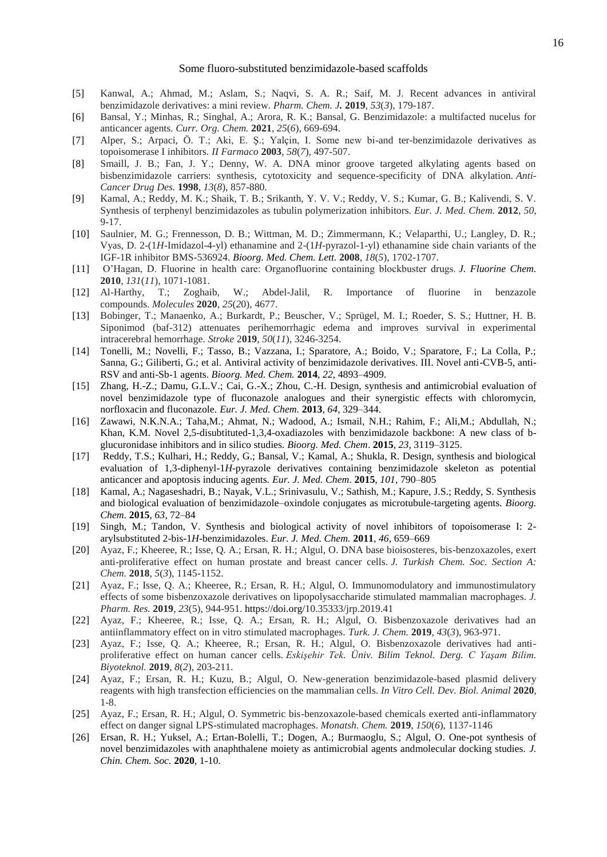- [5] Kanwal, A.; Ahmad, M.; Aslam, S.; Naqvi, S. A. R.; Saif, M. J. Recent advances in antiviral benzimidazole derivatives: a mini review. *Pharm. Chem. J.* **2019**, *53*(*3*), 179-187.
- [6] Bansal, Y.; Minhas, R.; Singhal, A.; Arora, R. K.; Bansal, G. Benzimidazole: a multifacted nucelus for anticancer agents. *Curr. Org. Chem.* **2021**, *25*(*6*), 669-694.
- [7] Alper, S.; Arpaci, Ö. T.; Aki, E. Ş.; Yalçin, I. Some new bi-and ter-benzimidazole derivatives as topoisomerase I inhibitors. *II Farmaco* **2003**, *58*(*7*), 497-507.
- [8] Smaill, J. B.; Fan, J. Y.; Denny, W. A. DNA minor groove targeted alkylating agents based on bisbenzimidazole carriers: synthesis, cytotoxicity and sequence-specificity of DNA alkylation. *Anti-Cancer Drug Des.* **1998**, *13*(*8*), 857-880.
- [9] Kamal, A.; Reddy, M. K.; Shaik, T. B.; Srikanth, Y. V. V.; Reddy, V. S.; Kumar, G. B.; Kalivendi, S. V. Synthesis of terphenyl benzimidazoles as tubulin polymerization inhibitors. *Eur. J. Med. Chem.* **2012**, *50*, 9-17.
- [10] Saulnier, M. G.; Frennesson, D. B.; Wittman, M. D.; Zimmermann, K.; Velaparthi, U.; Langley, D. R.; Vyas, D. 2-(1*H*-Imidazol-4-yl) ethanamine and 2-(1*H*-pyrazol-1-yl) ethanamine side chain variants of the IGF-1R inhibitor BMS-536924. *Bioorg. Med. Chem. Lett.* **2008**, *18*(*5*), 1702-1707.
- [11] O'Hagan, D. Fluorine in health care: Organofluorine containing blockbuster drugs. *J. Fluorine Chem.* **2010**, *131*(*11*), 1071-1081.
- [12] Al-Harthy, T.; Zoghaib, W.; Abdel-Jalil, R. Importance of fluorine in benzazole compounds. *Molecules* **2020**, *25*(*2*0), 4677.
- [13] Bobinger, T.; Manaenko, A.; Burkardt, P.; Beuscher, V.; Sprügel, M. I.; Roeder, S. S.; Huttner, H. B. Siponimod (baf-312) attenuates perihemorrhagic edema and improves survival in experimental intracerebral hemorrhage. *Stroke* 2**019**, *50*(*11*), 3246-3254.
- [14] Tonelli, M.; Novelli, F.; Tasso, B.; Vazzana, I.; Sparatore, A.; Boido, V.; Sparatore, F.; La Colla, P.; Sanna, G.; Giliberti, G.; et al. Antiviral activity of benzimidazole derivatives. III. Novel anti-CVB-5, anti-RSV and anti-Sb-1 agents. *Bioorg. Med. Chem.* **2014**, *22*, 4893–4909.
- [15] Zhang, H.-Z.; Damu, G.L.V.; Cai, G.-X.; Zhou, C.-H. Design, synthesis and antimicrobial evaluation of novel benzimidazole type of fluconazole analogues and their synergistic effects with chloromycin, norfloxacin and fluconazole. *Eur. J. Med. Chem.* **2013**, *64*, 329–344.
- [16] Zawawi, N.K.N.A.; Taha,M.; Ahmat, N.; Wadood, A.; Ismail, N.H.; Rahim, F.; Ali,M.; Abdullah, N.; Khan, K.M. Novel 2,5-disubtituted-1,3,4-oxadiazoles with benzimidazole backbone: A new class of bglucuronidase inhibitors and in silico studies. *Bioorg. Med. Chem*. **2015**, *23*, 3119–3125.
- [17] Reddy, T.S.; Kulhari, H.; Reddy, G.; Bansal, V.; Kamal, A.; Shukla, R. Design, synthesis and biological evaluation of 1,3-diphenyl-1*H*-pyrazole derivatives containing benzimidazole skeleton as potential anticancer and apoptosis inducing agents. *Eur. J. Med. Chem*. **2015**, *101*, 790–805
- [18] Kamal, A.; Nagaseshadri, B.; Nayak, V.L.; Srinivasulu, V.; Sathish, M.; Kapure, J.S.; Reddy, S. Synthesis and biological evaluation of benzimidazole–oxindole conjugates as microtubule-targeting agents. *Bioorg. Chem.* **2015**, *63*, 72–84
- [19] Singh, M.; Tandon, V. Synthesis and biological activity of novel inhibitors of topoisomerase I: 2 arylsubstituted 2-bis-1*H*-benzimidazoles. *Eur. J. Med. Chem.* **2011**, *46*, 659–669
- [20] Ayaz, F.; Kheeree, R.; Isse, Q. A.; Ersan, R. H.; Algul, O. DNA base bioisosteres, bis-benzoxazoles, exert anti-proliferative effect on human prostate and breast cancer cells. *J. Turkish Chem. Soc. Section A: Chem.* **2018**, *5*(*3*), 1145-1152.
- [21] Ayaz, F.; Isse, Q. A.; Kheeree, R.; Ersan, R. H.; Algul, O. Immunomodulatory and immunostimulatory effects of some bisbenzoxazole derivatives on lipopolysaccharide stimulated mammalian macrophages. *J. Pharm. Res.* **2019**, *23*(5), 944-951. https://doi.org/10.35333/jrp.2019.41
- [22] Ayaz, F.; Kheeree, R.; Isse, Q. A.; Ersan, R. H.; Algul, O. Bisbenzoxazole derivatives had an antiinflammatory effect on in vitro stimulated macrophages. *Turk. J. Chem.* **2019**, *43*(*3*), 963-971.
- [23] Ayaz, F.; Isse, Q. A.; Kheeree, R.; Ersan, R. H.; Algul, O. Bisbenzoxazole derivatives had antiproliferative effect on human cancer cells. *Eskişehir Tek. Üniv. Bilim Teknol. Derg. C Yaşam Bilim. Biyoteknol.* **2019**, *8*(*2*), 203-211.
- [24] Ayaz, F.; Ersan, R. H.; Kuzu, B.; Algul, O. New-generation benzimidazole-based plasmid delivery reagents with high transfection efficiencies on the mammalian cells. *In Vitro Cell. Dev. Biol. Animal* **2020**, 1-8.
- [25] Ayaz, F.; Ersan, R. H.; Algul, O. Symmetric bis-benzoxazole-based chemicals exerted anti-inflammatory effect on danger signal LPS-stimulated macrophages. *Monatsh. Chem.* **2019**, *150*(*6*), 1137-1146
- [26] Ersan, R. H.; Yuksel, A.; Ertan-Bolelli, T.; Dogen, A.; Burmaoglu, S.; Algul, O. One-pot synthesis of novel benzimidazoles with anaphthalene moiety as antimicrobial agents andmolecular docking studies. *J. Chin. Chem. Soc.* **2020**, 1-10.